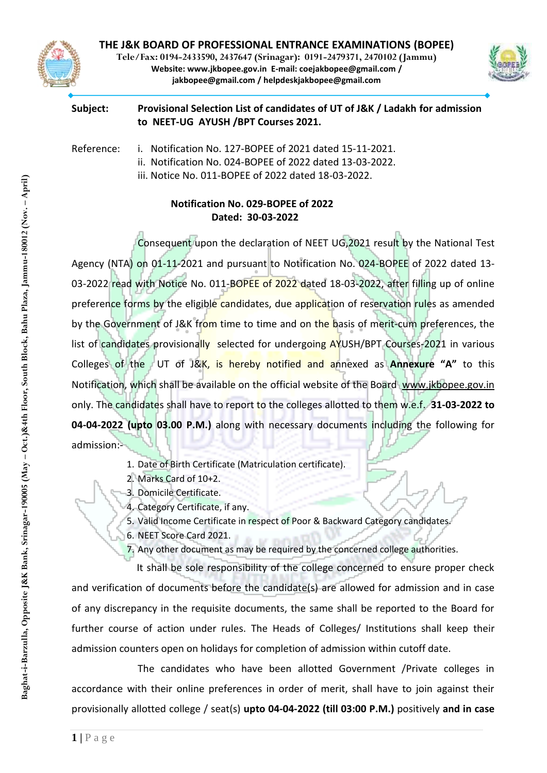

**Tele/Fax: 0194-2433590, 2437647 (Srinagar): 0191-2479371, 2470102 (Jammu) Website: [www.jkbopee.gov.in](http://www.jkbopee.gov.in/) E-mail: [coejakbopee@gmail.com](mailto:coejakbopee@gmail.com%20/%0Bjakbopee@gmail.com%20/%20helpdeskjakbopee@gmail.com) / jakbopee@gmail.com / [helpdeskjakbopee@gmail.com](mailto:coejakbopee@gmail.com%20/%0Bjakbopee@gmail.com%20/%20helpdeskjakbopee@gmail.com)**



#### **Subject: Provisional Selection List of candidates of UT of J&K / Ladakh for admission to NEET-UG AYUSH /BPT Courses 2021.**

Reference: i. Notification No. 127-BOPEE of 2021 dated 15-11-2021.

- ii. Notification No. 024-BOPEE of 2022 dated 13-03-2022.
- iii. Notice No. 011-BOPEE of 2022 dated 18-03-2022.

# **Notification No. 029-BOPEE of 2022 Dated: 30-03-2022**

Consequent upon the declaration of NEET UG,2021 result by the National Test Agency (NTA) on 01-11-2021 and pursuant to Notification No. 024-BOPEE of 2022 dated 13- 03-2022 read with Notice No. 011-BOPEE of 2022 dated 18-03-2022, after filling up of online preference forms by the eligible candidates, due application of reservation rules as amended by the Government of J&K from time to time and on the basis of merit-cum preferences, the list of candidates provisionally selected for undergoing AYUSH/BPT Courses-2021 in various Colleges of the UT of J&K, is hereby notified and annexed as **Annexure "A"** to this Notification, which shall be available on the official website of the Board [www.jkbopee.gov.in](http://www.jkbopee.gov.in/) only. The candidates shall have to report to the colleges allotted to them w.e.f. **31-03-2022 to 04-04-2022 (upto 03.00 P.M.)** along with necessary documents including the following for admission:-

- 1. Date of Birth Certificate (Matriculation certificate).
- 2. Marks Card of 10+2.
- 3. Domicile Certificate.
- 4. Category Certificate, if any.
- 5. Valid Income Certificate in respect of Poor & Backward Category candidates.
- 6. NEET Score Card 2021.
- 7. Any other document as may be required by the concerned college authorities.

It shall be sole responsibility of the college concerned to ensure proper check and verification of documents before the candidate(s) are allowed for admission and in case of any discrepancy in the requisite documents, the same shall be reported to the Board for further course of action under rules. The Heads of Colleges/ Institutions shall keep their admission counters open on holidays for completion of admission within cutoff date.

The candidates who have been allotted Government /Private colleges in accordance with their online preferences in order of merit, shall have to join against their provisionally allotted college / seat(s) **upto 04-04-2022 (till 03:00 P.M.)** positively **and in case**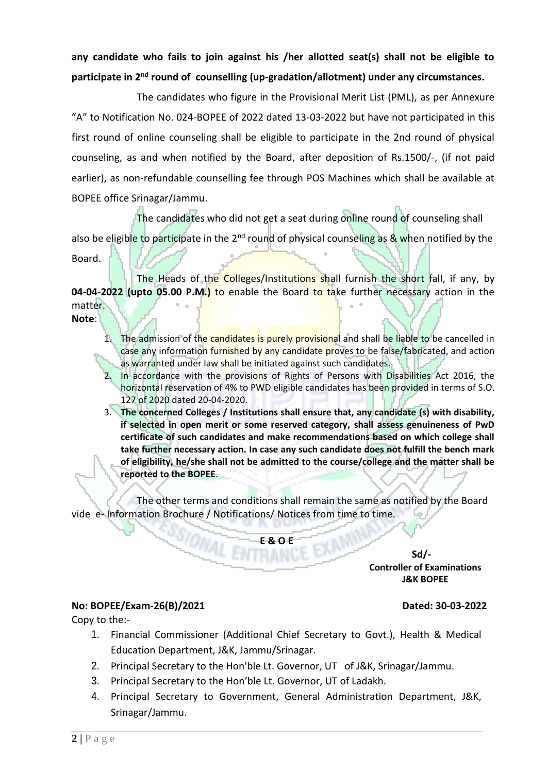**any candidate who fails to join against his /her allotted seat(s) shall not be eligible to participate in 2nd round of counselling (up-gradation/allotment) under any circumstances.**

The candidates who figure in the Provisional Merit List (PML), as per Annexure "A" to Notification No. 024-BOPEE of 2022 dated 13-03-2022 but have not participated in this first round of online counseling shall be eligible to participate in the 2nd round of physical counseling, as and when notified by the Board, after deposition of Rs.1500/-, (if not paid earlier), as non-refundable counselling fee through POS Machines which shall be available at BOPEE office Srinagar/Jammu.

The candidates who did not get a seat during online round of counseling shall

also be eligible to participate in the  $2^{nd}$  round of physical counseling as & when notified by the Board.

The Heads of the Colleges/Institutions shall furnish the short fall, if any, by **04-04-2022 (upto 05.00 P.M.)** to enable the Board to take further necessary action in the matter. **Note**:

- 1. The admission of the candidates is purely provisional and shall be liable to be cancelled in case any information furnished by any candidate proves to be false/fabricated, and action as warranted under law shall be initiated against such candidates.
- 2. In accordance with the provisions of Rights of Persons with Disabilities Act 2016, the horizontal reservation of 4% to PWD eligible candidates has been provided in terms of S.O. 127 of 2020 dated 20-04-2020.
- 3. **The concerned Colleges / Institutions shall ensure that, any candidate (s) with disability, if selected in open merit or some reserved category, shall assess genuineness of PwD certificate of such candidates and make recommendations based on which college shall take further necessary action. In case any such candidate does not fulfill the bench mark of eligibility, he/she shall not be admitted to the course/college and the matter shall be reported to the BOPEE**.

The other terms and conditions shall remain the same as notified by the Board vide e- Information Brochure / Notifications/ Notices from time to time.

> **Sd/- Controller of Examinations J&K BOPEE**

# **No: BOPEE/Exam-26(B)/2021 Dated: 30-03-2022**

Copy to the:-

- 1. Financial Commissioner (Additional Chief Secretary to Govt.), Health & Medical Education Department, J&K, Jammu/Srinagar.
- 2. Principal Secretary to the Hon'ble Lt. Governor, UT of J&K, Srinagar/Jammu.
- 3. Principal Secretary to the Hon'ble Lt. Governor, UT of Ladakh.
- 4. Principal Secretary to Government, General Administration Department, J&K, Srinagar/Jammu.

SSIONAL ENTRANCE EXAMIN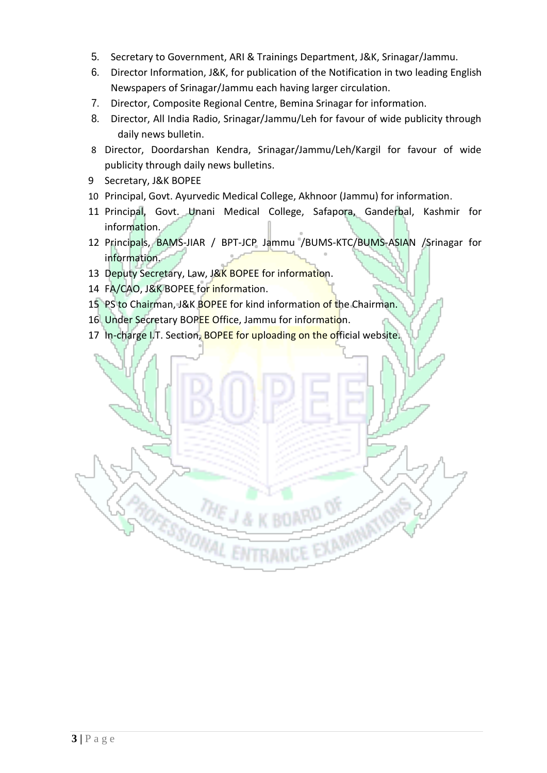- 5. Secretary to Government, ARI & Trainings Department, J&K, Srinagar/Jammu.
- 6. Director Information, J&K, for publication of the Notification in two leading English Newspapers of Srinagar/Jammu each having larger circulation.
- 7. Director, Composite Regional Centre, Bemina Srinagar for information.
- 8. Director, All India Radio, Srinagar/Jammu/Leh for favour of wide publicity through daily news bulletin.
- 8 Director, Doordarshan Kendra, Srinagar/Jammu/Leh/Kargil for favour of wide publicity through daily news bulletins.
- 9 Secretary, J&K BOPEE
- 10 Principal, Govt. Ayurvedic Medical College, Akhnoor (Jammu) for information.
- 11 Principal, Govt. Unani Medical College, Safapora, Ganderbal, Kashmir for information.
- 12 Principals, BAMS-JIAR / BPT-JCP Jammu /BUMS-KTC/BUMS-ASIAN /Srinagar for information.

EXAMINATIONS

- 13 Deputy Secretary, Law, J&K BOPEE for information.
- 14 FA/CAO, J&K BOPEE for information.
- 15 PS to Chairman, J&K BOPEE for kind information of the Chairman.
- 16 Under Secretary BOPEE Office, Jammu for information.

**ROPESSIONAL ENTRANCE** 

17 In-charge I.T. Section, BOPEE for uploading on the official website.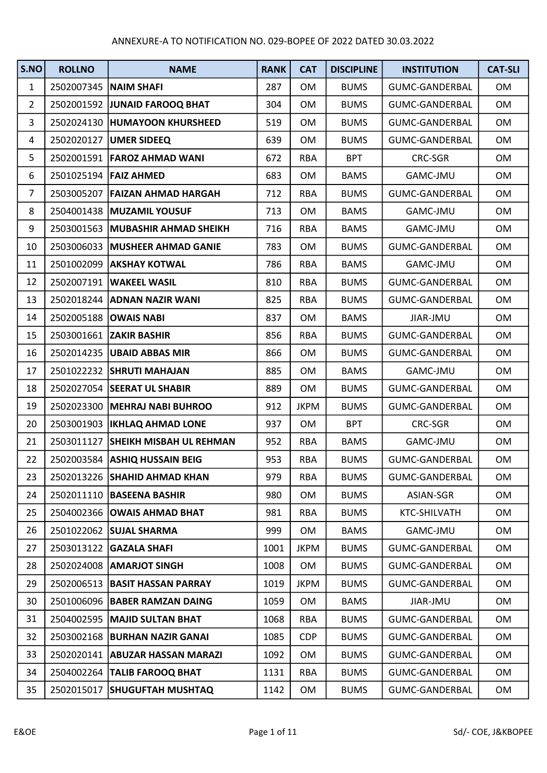| S.NO           | <b>ROLLNO</b> | <b>NAME</b>                        | <b>RANK</b> | <b>CAT</b>  | <b>DISCIPLINE</b> | <b>INSTITUTION</b>    | <b>CAT-SLI</b> |
|----------------|---------------|------------------------------------|-------------|-------------|-------------------|-----------------------|----------------|
| $\mathbf{1}$   | 2502007345    | <b>NAIM SHAFI</b>                  | 287         | <b>OM</b>   | <b>BUMS</b>       | <b>GUMC-GANDERBAL</b> | OM             |
| $\overline{2}$ |               | 2502001592 JUNAID FAROOQ BHAT      | 304         | <b>OM</b>   | <b>BUMS</b>       | <b>GUMC-GANDERBAL</b> | OM             |
| 3              |               | 2502024130  HUMAYOON KHURSHEED     | 519         | <b>OM</b>   | <b>BUMS</b>       | <b>GUMC-GANDERBAL</b> | OM             |
| 4              | 2502020127    | <b>UMER SIDEEQ</b>                 | 639         | <b>OM</b>   | <b>BUMS</b>       | <b>GUMC-GANDERBAL</b> | OM             |
| 5              |               | 2502001591   FAROZ AHMAD WANI      | 672         | <b>RBA</b>  | <b>BPT</b>        | CRC-SGR               | OM             |
| 6              |               | 2501025194 FAIZ AHMED              | 683         | <b>OM</b>   | <b>BAMS</b>       | GAMC-JMU              | OM             |
| $\overline{7}$ | 2503005207    | <b>FAIZAN AHMAD HARGAH</b>         | 712         | <b>RBA</b>  | <b>BUMS</b>       | <b>GUMC-GANDERBAL</b> | <b>OM</b>      |
| 8              |               | 2504001438 MUZAMIL YOUSUF          | 713         | <b>OM</b>   | <b>BAMS</b>       | GAMC-JMU              | OM             |
| 9              | 2503001563    | <b>MUBASHIR AHMAD SHEIKH</b>       | 716         | <b>RBA</b>  | <b>BAMS</b>       | GAMC-JMU              | OM             |
| 10             | 2503006033    | <b>MUSHEER AHMAD GANIE</b>         | 783         | OM          | <b>BUMS</b>       | <b>GUMC-GANDERBAL</b> | OM             |
| 11             |               | 2501002099   AKSHAY KOTWAL         | 786         | RBA         | <b>BAMS</b>       | GAMC-JMU              | OM             |
| 12             | 2502007191    | <b>WAKEEL WASIL</b>                | 810         | <b>RBA</b>  | <b>BUMS</b>       | <b>GUMC-GANDERBAL</b> | <b>OM</b>      |
| 13             |               | 2502018244 ADNAN NAZIR WANI        | 825         | <b>RBA</b>  | <b>BUMS</b>       | <b>GUMC-GANDERBAL</b> | OM             |
| 14             |               | 2502005188 <b>OWAIS NABI</b>       | 837         | <b>OM</b>   | <b>BAMS</b>       | JIAR-JMU              | OM             |
| 15             |               | 2503001661 ZAKIR BASHIR            | 856         | <b>RBA</b>  | <b>BUMS</b>       | <b>GUMC-GANDERBAL</b> | <b>OM</b>      |
| 16             |               | 2502014235   UBAID ABBAS MIR       | 866         | <b>OM</b>   | <b>BUMS</b>       | <b>GUMC-GANDERBAL</b> | OM             |
| 17             |               | 2501022232 SHRUTI MAHAJAN          | 885         | <b>OM</b>   | <b>BAMS</b>       | GAMC-JMU              | OM             |
| 18             |               | 2502027054 SEERAT UL SHABIR        | 889         | <b>OM</b>   | <b>BUMS</b>       | <b>GUMC-GANDERBAL</b> | OM             |
| 19             |               | 2502023300 MEHRAJ NABI BUHROO      | 912         | <b>JKPM</b> | <b>BUMS</b>       | <b>GUMC-GANDERBAL</b> | <b>OM</b>      |
| 20             |               | 2503001903   IKHLAQ AHMAD LONE     | 937         | <b>OM</b>   | <b>BPT</b>        | <b>CRC-SGR</b>        | OM             |
| 21             | 2503011127    | <b>SHEIKH MISBAH UL REHMAN</b>     | 952         | <b>RBA</b>  | <b>BAMS</b>       | GAMC-JMU              | OM             |
| 22             | 2502003584    | <b>ASHIQ HUSSAIN BEIG</b>          | 953         | <b>RBA</b>  | <b>BUMS</b>       | <b>GUMC-GANDERBAL</b> | <b>OM</b>      |
| 23             |               | 2502013226 SHAHID AHMAD KHAN       | 979         | <b>RBA</b>  | <b>BUMS</b>       | <b>GUMC-GANDERBAL</b> | <b>OM</b>      |
| 24             | 2502011110    | <b>BASEENA BASHIR</b>              | 980         | <b>OM</b>   | <b>BUMS</b>       | ASIAN-SGR             | OM             |
| 25             |               | 2504002366 <b>OWAIS AHMAD BHAT</b> | 981         | <b>RBA</b>  | <b>BUMS</b>       | KTC-SHILVATH          | OM             |
| 26             | 2501022062    | <b>SUJAL SHARMA</b>                | 999         | <b>OM</b>   | <b>BAMS</b>       | <b>GAMC-JMU</b>       | OM             |
| 27             | 2503013122    | <b>GAZALA SHAFI</b>                | 1001        | <b>JKPM</b> | <b>BUMS</b>       | <b>GUMC-GANDERBAL</b> | OM             |
| 28             | 2502024008    | <b>AMARJOT SINGH</b>               | 1008        | OM          | <b>BUMS</b>       | GUMC-GANDERBAL        | OM             |
| 29             |               | 2502006513 BASIT HASSAN PARRAY     | 1019        | <b>JKPM</b> | <b>BUMS</b>       | <b>GUMC-GANDERBAL</b> | OM             |
| 30             |               | 2501006096   BABER RAMZAN DAING    | 1059        | 0M          | <b>BAMS</b>       | JIAR-JMU              | OM             |
| 31             | 2504002595    | MAJID SULTAN BHAT                  | 1068        | <b>RBA</b>  | <b>BUMS</b>       | GUMC-GANDERBAL        | OM             |
| 32             | 2503002168    | <b>BURHAN NAZIR GANAI</b>          | 1085        | <b>CDP</b>  | <b>BUMS</b>       | <b>GUMC-GANDERBAL</b> | OM             |
| 33             |               | 2502020141   ABUZAR HASSAN MARAZI  | 1092        | <b>OM</b>   | <b>BUMS</b>       | <b>GUMC-GANDERBAL</b> | OM             |
| 34             |               | 2504002264 TALIB FAROOQ BHAT       | 1131        | <b>RBA</b>  | <b>BUMS</b>       | <b>GUMC-GANDERBAL</b> | OM             |
| 35             | 2502015017    | <b>SHUGUFTAH MUSHTAQ</b>           | 1142        | OM          | <b>BUMS</b>       | <b>GUMC-GANDERBAL</b> | OM             |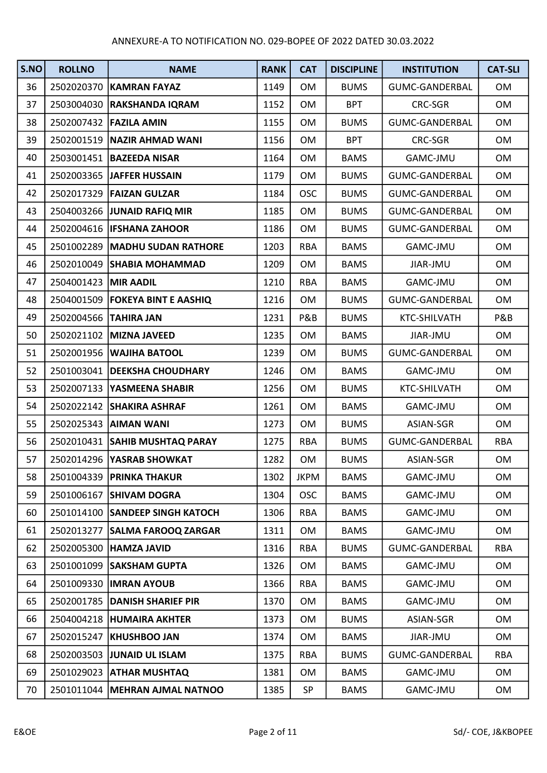| S.NO | <b>ROLLNO</b>         | <b>NAME</b>                       | <b>RANK</b> | <b>CAT</b>  | <b>DISCIPLINE</b> | <b>INSTITUTION</b>    | <b>CAT-SLI</b> |
|------|-----------------------|-----------------------------------|-------------|-------------|-------------------|-----------------------|----------------|
| 36   |                       | 2502020370   KAMRAN FAYAZ         | 1149        | <b>OM</b>   | <b>BUMS</b>       | GUMC-GANDERBAL        | <b>OM</b>      |
| 37   |                       | 2503004030 RAKSHANDA IQRAM        | 1152        | <b>OM</b>   | <b>BPT</b>        | CRC-SGR               | OM             |
| 38   |                       | 2502007432   FAZILA AMIN          | 1155        | <b>OM</b>   | <b>BUMS</b>       | GUMC-GANDERBAL        | OM             |
| 39   |                       | 2502001519 NAZIR AHMAD WANI       | 1156        | <b>OM</b>   | <b>BPT</b>        | CRC-SGR               | OM             |
| 40   |                       | 2503001451   BAZEEDA NISAR        | 1164        | <b>OM</b>   | <b>BAMS</b>       | GAMC-JMU              | OM             |
| 41   |                       | 2502003365 JAFFER HUSSAIN         | 1179        | OM          | <b>BUMS</b>       | GUMC-GANDERBAL        | OM             |
| 42   |                       | 2502017329   FAIZAN GULZAR        | 1184        | <b>OSC</b>  | <b>BUMS</b>       | GUMC-GANDERBAL        | OM             |
| 43   |                       | 2504003266 JUNAID RAFIQ MIR       | 1185        | <b>OM</b>   | <b>BUMS</b>       | GUMC-GANDERBAL        | OM             |
| 44   |                       | 2502004616   IFSHANA ZAHOOR       | 1186        | <b>OM</b>   | <b>BUMS</b>       | GUMC-GANDERBAL        | OM             |
| 45   |                       | 2501002289 MADHU SUDAN RATHORE    | 1203        | <b>RBA</b>  | <b>BAMS</b>       | GAMC-JMU              | OM             |
| 46   |                       | 2502010049 SHABIA MOHAMMAD        | 1209        | OM          | <b>BAMS</b>       | JIAR-JMU              | OM             |
| 47   | 2504001423 MIR AADIL  |                                   | 1210        | <b>RBA</b>  | <b>BAMS</b>       | GAMC-JMU              | OM             |
| 48   |                       | 2504001509   FOKEYA BINT E AASHIQ | 1216        | <b>OM</b>   | <b>BUMS</b>       | GUMC-GANDERBAL        | OM             |
| 49   | 2502004566 TAHIRA JAN |                                   | 1231        | P&B         | <b>BUMS</b>       | <b>KTC-SHILVATH</b>   | P&B            |
| 50   |                       | 2502021102 MIZNA JAVEED           | 1235        | <b>OM</b>   | <b>BAMS</b>       | JIAR-JMU              | OM             |
| 51   |                       | 2502001956   WAJIHA BATOOL        | 1239        | OM          | <b>BUMS</b>       | GUMC-GANDERBAL        | OM             |
| 52   |                       | 2501003041   DEEKSHA CHOUDHARY    | 1246        | <b>OM</b>   | <b>BAMS</b>       | GAMC-JMU              | OM             |
| 53   | 2502007133            | <b>YASMEENA SHABIR</b>            | 1256        | <b>OM</b>   | <b>BUMS</b>       | KTC-SHILVATH          | OM             |
| 54   |                       | 2502022142 SHAKIRA ASHRAF         | 1261        | <b>OM</b>   | <b>BAMS</b>       | GAMC-JMU              | OM             |
| 55   | 2502025343            | <b>AIMAN WANI</b>                 | 1273        | <b>OM</b>   | <b>BUMS</b>       | ASIAN-SGR             | OM             |
| 56   | 2502010431            | <b>SAHIB MUSHTAQ PARAY</b>        | 1275        | <b>RBA</b>  | <b>BUMS</b>       | GUMC-GANDERBAL        | <b>RBA</b>     |
| 57   |                       | 2502014296 YASRAB SHOWKAT         | 1282        | OM          | <b>BUMS</b>       | ASIAN-SGR             | OM             |
| 58   |                       | 2501004339 PRINKA THAKUR          | 1302        | <b>JKPM</b> | <b>BAMS</b>       | GAMC-JMU              | <b>OM</b>      |
| 59   | 2501006167            | <b>SHIVAM DOGRA</b>               | 1304        | <b>OSC</b>  | <b>BAMS</b>       | GAMC-JMU              | OM             |
| 60   |                       | 2501014100 SANDEEP SINGH KATOCH   | 1306        | <b>RBA</b>  | <b>BAMS</b>       | GAMC-JMU              | OM             |
| 61   | 2502013277            | <b>SALMA FAROOQ ZARGAR</b>        | 1311        | <b>OM</b>   | <b>BAMS</b>       | GAMC-JMU              | OM             |
| 62   |                       | 2502005300 HAMZA JAVID            | 1316        | <b>RBA</b>  | <b>BUMS</b>       | <b>GUMC-GANDERBAL</b> | <b>RBA</b>     |
| 63   |                       | 2501001099 SAKSHAM GUPTA          | 1326        | 0M          | <b>BAMS</b>       | GAMC-JMU              | OM             |
| 64   | 2501009330            | <b>IMRAN AYOUB</b>                | 1366        | <b>RBA</b>  | <b>BAMS</b>       | GAMC-JMU              | OM             |
| 65   | 2502001785            | <b>DANISH SHARIEF PIR</b>         | 1370        | OM          | <b>BAMS</b>       | GAMC-JMU              | OM             |
| 66   | 2504004218            | <b>HUMAIRA AKHTER</b>             | 1373        | <b>OM</b>   | <b>BUMS</b>       | ASIAN-SGR             | OM             |
| 67   | 2502015247            | <b>KHUSHBOO JAN</b>               | 1374        | <b>OM</b>   | <b>BAMS</b>       | JIAR-JMU              | OM             |
| 68   | 2502003503            | <b>JUNAID UL ISLAM</b>            | 1375        | <b>RBA</b>  | <b>BUMS</b>       | GUMC-GANDERBAL        | <b>RBA</b>     |
| 69   | 2501029023            | <b>ATHAR MUSHTAQ</b>              | 1381        | <b>OM</b>   | <b>BAMS</b>       | GAMC-JMU              | OM             |
| 70   | 2501011044            | <b>MEHRAN AJMAL NATNOO</b>        | 1385        | SP          | <b>BAMS</b>       | GAMC-JMU              | OM             |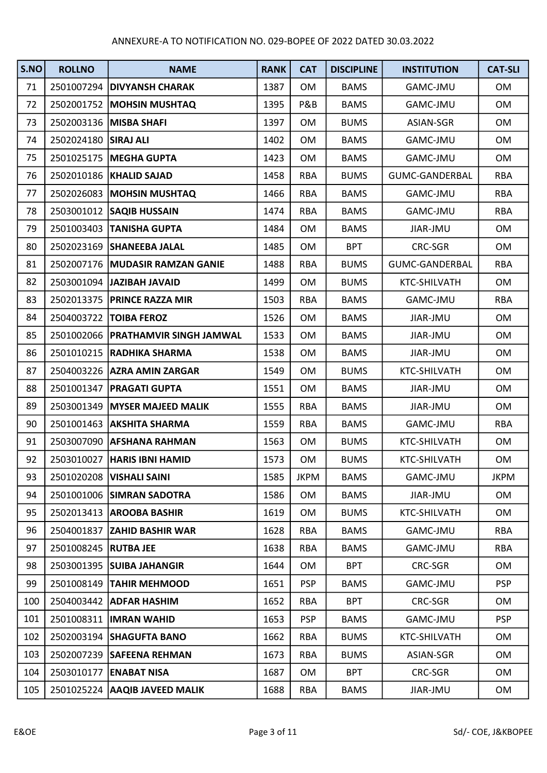| S.NO | <b>ROLLNO</b>        | <b>NAME</b>                          | <b>RANK</b> | <b>CAT</b>  | <b>DISCIPLINE</b> | <b>INSTITUTION</b>    | <b>CAT-SLI</b> |
|------|----------------------|--------------------------------------|-------------|-------------|-------------------|-----------------------|----------------|
| 71   |                      | 2501007294 DIVYANSH CHARAK           | 1387        | <b>OM</b>   | <b>BAMS</b>       | GAMC-JMU              | <b>OM</b>      |
| 72   | 2502001752           | <b>MOHSIN MUSHTAQ</b>                | 1395        | P&B         | <b>BAMS</b>       | GAMC-JMU              | OM             |
| 73   | 2502003136           | <b>MISBA SHAFI</b>                   | 1397        | <b>OM</b>   | <b>BUMS</b>       | ASIAN-SGR             | OM             |
| 74   | 2502024180 SIRAJ ALI |                                      | 1402        | <b>OM</b>   | <b>BAMS</b>       | GAMC-JMU              | OM             |
| 75   |                      | 2501025175   MEGHA GUPTA             | 1423        | <b>OM</b>   | <b>BAMS</b>       | GAMC-JMU              | OM             |
| 76   |                      | 2502010186   KHALID SAJAD            | 1458        | <b>RBA</b>  | <b>BUMS</b>       | GUMC-GANDERBAL        | <b>RBA</b>     |
| 77   | 2502026083           | <b>MOHSIN MUSHTAQ</b>                | 1466        | <b>RBA</b>  | <b>BAMS</b>       | GAMC-JMU              | <b>RBA</b>     |
| 78   |                      | 2503001012   SAQIB HUSSAIN           | 1474        | <b>RBA</b>  | <b>BAMS</b>       | GAMC-JMU              | <b>RBA</b>     |
| 79   |                      | 2501003403 TANISHA GUPTA             | 1484        | <b>OM</b>   | <b>BAMS</b>       | JIAR-JMU              | OM             |
| 80   |                      | 2502023169 SHANEEBA JALAL            | 1485        | <b>OM</b>   | <b>BPT</b>        | CRC-SGR               | OM             |
| 81   | 2502007176           | <b>MUDASIR RAMZAN GANIE</b>          | 1488        | <b>RBA</b>  | <b>BUMS</b>       | <b>GUMC-GANDERBAL</b> | <b>RBA</b>     |
| 82   |                      | 2503001094 JAZIBAH JAVAID            | 1499        | <b>OM</b>   | <b>BUMS</b>       | KTC-SHILVATH          | OM             |
| 83   | 2502013375           | <b>PRINCE RAZZA MIR</b>              | 1503        | <b>RBA</b>  | <b>BAMS</b>       | GAMC-JMU              | <b>RBA</b>     |
| 84   |                      | 2504003722   TOIBA FEROZ             | 1526        | <b>OM</b>   | <b>BAMS</b>       | JIAR-JMU              | OM             |
| 85   |                      | 2501002066   PRATHAMVIR SINGH JAMWAL | 1533        | <b>OM</b>   | <b>BAMS</b>       | JIAR-JMU              | OM             |
| 86   |                      | 2501010215 RADHIKA SHARMA            | 1538        | OM          | <b>BAMS</b>       | JIAR-JMU              | OM             |
| 87   |                      | 2504003226   AZRA AMIN ZARGAR        | 1549        | <b>OM</b>   | <b>BUMS</b>       | KTC-SHILVATH          | OM             |
| 88   | 2501001347           | <b>PRAGATI GUPTA</b>                 | 1551        | <b>OM</b>   | <b>BAMS</b>       | JIAR-JMU              | OM             |
| 89   |                      | 2503001349 MYSER MAJEED MALIK        | 1555        | <b>RBA</b>  | <b>BAMS</b>       | JIAR-JMU              | OM             |
| 90   | 2501001463           | <b>AKSHITA SHARMA</b>                | 1559        | <b>RBA</b>  | <b>BAMS</b>       | GAMC-JMU              | <b>RBA</b>     |
| 91   |                      | 2503007090 AFSHANA RAHMAN            | 1563        | <b>OM</b>   | <b>BUMS</b>       | KTC-SHILVATH          | OM             |
| 92   |                      | 2503010027   HARIS IBNI HAMID        | 1573        | OM          | <b>BUMS</b>       | KTC-SHILVATH          | OM             |
| 93   |                      | 2501020208   VISHALI SAINI           | 1585        | <b>JKPM</b> | <b>BAMS</b>       | GAMC-JMU              | <b>JKPM</b>    |
| 94   |                      | 2501001006 SIMRAN SADOTRA            | 1586        | <b>OM</b>   | <b>BAMS</b>       | JIAR-JMU              | OM             |
| 95   | 2502013413           | <b>AROOBA BASHIR</b>                 | 1619        | OM          | <b>BUMS</b>       | KTC-SHILVATH          | OM             |
| 96   | 2504001837           | <b>ZAHID BASHIR WAR</b>              | 1628        | <b>RBA</b>  | <b>BAMS</b>       | GAMC-JMU              | <b>RBA</b>     |
| 97   | 2501008245           | <b>RUTBA JEE</b>                     | 1638        | <b>RBA</b>  | <b>BAMS</b>       | GAMC-JMU              | <b>RBA</b>     |
| 98   |                      | 2503001395 SUIBA JAHANGIR            | 1644        | 0M          | <b>BPT</b>        | CRC-SGR               | OM             |
| 99   | 2501008149           | <b>TAHIR MEHMOOD</b>                 | 1651        | <b>PSP</b>  | <b>BAMS</b>       | GAMC-JMU              | <b>PSP</b>     |
| 100  | 2504003442           | <b>ADFAR HASHIM</b>                  | 1652        | <b>RBA</b>  | <b>BPT</b>        | CRC-SGR               | OM             |
| 101  | 2501008311           | <b>IMRAN WAHID</b>                   | 1653        | <b>PSP</b>  | <b>BAMS</b>       | GAMC-JMU              | <b>PSP</b>     |
| 102  |                      | 2502003194 SHAGUFTA BANO             | 1662        | <b>RBA</b>  | <b>BUMS</b>       | KTC-SHILVATH          | OM             |
| 103  |                      | 2502007239 SAFEENA REHMAN            | 1673        | <b>RBA</b>  | <b>BUMS</b>       | ASIAN-SGR             | OM             |
| 104  | 2503010177           | <b>ENABAT NISA</b>                   | 1687        | <b>OM</b>   | <b>BPT</b>        | CRC-SGR               | OM             |
| 105  | 2501025224           | <b>AAQIB JAVEED MALIK</b>            | 1688        | RBA         | <b>BAMS</b>       | JIAR-JMU              | OM             |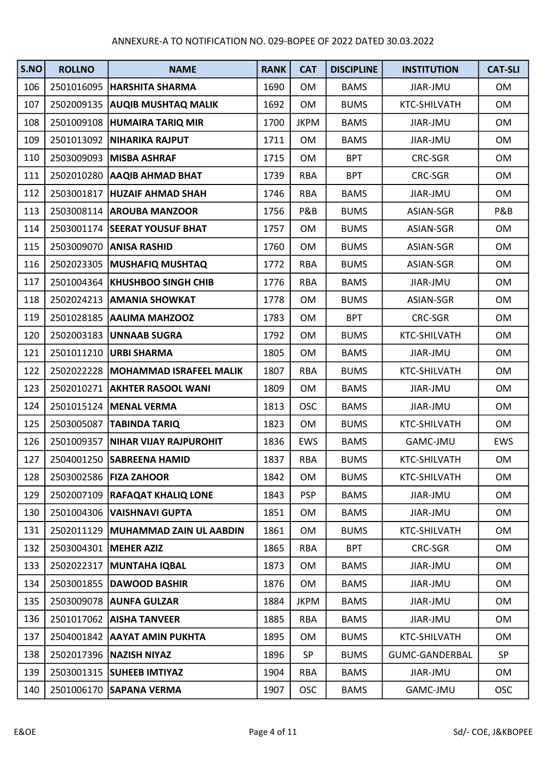| S.NO | <b>ROLLNO</b> | <b>NAME</b>                        | <b>RANK</b> | <b>CAT</b>  | <b>DISCIPLINE</b> | <b>INSTITUTION</b> | <b>CAT-SLI</b> |
|------|---------------|------------------------------------|-------------|-------------|-------------------|--------------------|----------------|
| 106  |               | 2501016095   HARSHITA SHARMA       | 1690        | <b>OM</b>   | <b>BAMS</b>       | JIAR-JMU           | <b>OM</b>      |
| 107  | 2502009135    | <b>AUQIB MUSHTAQ MALIK</b>         | 1692        | <b>OM</b>   | <b>BUMS</b>       | KTC-SHILVATH       | OM             |
| 108  | 2501009108    | <b>HUMAIRA TARIQ MIR</b>           | 1700        | <b>JKPM</b> | <b>BAMS</b>       | JIAR-JMU           | OM             |
| 109  |               | 2501013092 NIHARIKA RAJPUT         | 1711        | OM          | <b>BAMS</b>       | JIAR-JMU           | OM             |
| 110  |               | 2503009093 MISBA ASHRAF            | 1715        | <b>OM</b>   | <b>BPT</b>        | CRC-SGR            | OM             |
| 111  |               | 2502010280 AAQIB AHMAD BHAT        | 1739        | <b>RBA</b>  | <b>BPT</b>        | CRC-SGR            | OM             |
| 112  | 2503001817    | <b>HUZAIF AHMAD SHAH</b>           | 1746        | <b>RBA</b>  | <b>BAMS</b>       | JIAR-JMU           | OM             |
| 113  |               | 2503008114 AROUBA MANZOOR          | 1756        | P&B         | <b>BUMS</b>       | ASIAN-SGR          | P&B            |
| 114  |               | 2503001174 SEERAT YOUSUF BHAT      | 1757        | <b>OM</b>   | <b>BUMS</b>       | ASIAN-SGR          | OM             |
| 115  |               | 2503009070 ANISA RASHID            | 1760        | <b>OM</b>   | <b>BUMS</b>       | ASIAN-SGR          | OM             |
| 116  | 2502023305    | <b>MUSHAFIQ MUSHTAQ</b>            | 1772        | <b>RBA</b>  | <b>BUMS</b>       | ASIAN-SGR          | OM             |
| 117  | 2501004364    | <b>KHUSHBOO SINGH CHIB</b>         | 1776        | <b>RBA</b>  | <b>BAMS</b>       | JIAR-JMU           | OM             |
| 118  | 2502024213    | <b>AMANIA SHOWKAT</b>              | 1778        | <b>OM</b>   | <b>BUMS</b>       | ASIAN-SGR          | OM             |
| 119  |               | 2501028185 AALIMA MAHZOOZ          | 1783        | <b>OM</b>   | <b>BPT</b>        | CRC-SGR            | OM             |
| 120  | 2502003183    | <b>UNNAAB SUGRA</b>                | 1792        | <b>OM</b>   | <b>BUMS</b>       | KTC-SHILVATH       | OM             |
| 121  |               | 2501011210   URBI SHARMA           | 1805        | OM          | <b>BAMS</b>       | JIAR-JMU           | OM             |
| 122  |               | 2502022228 MOHAMMAD ISRAFEEL MALIK | 1807        | <b>RBA</b>  | <b>BUMS</b>       | KTC-SHILVATH       | OM             |
| 123  | 2502010271    | <b>AKHTER RASOOL WANI</b>          | 1809        | <b>OM</b>   | <b>BAMS</b>       | JIAR-JMU           | OM             |
| 124  |               | 2501015124 MENAL VERMA             | 1813        | <b>OSC</b>  | <b>BAMS</b>       | JIAR-JMU           | OM             |
| 125  | 2503005087    | <b>TABINDA TARIQ</b>               | 1823        | <b>OM</b>   | <b>BUMS</b>       | KTC-SHILVATH       | OM             |
| 126  | 2501009357    | NIHAR VIJAY RAJPUROHIT             | 1836        | <b>EWS</b>  | <b>BAMS</b>       | GAMC-JMU           | EWS            |
| 127  |               | 2504001250 SABREENA HAMID          | 1837        | <b>RBA</b>  | <b>BUMS</b>       | KTC-SHILVATH       | OM             |
| 128  |               | 2503002586   FIZA ZAHOOR           | 1842        | <b>OM</b>   | <b>BUMS</b>       | KTC-SHILVATH       | <b>OM</b>      |
| 129  | 2502007109    | <b>RAFAQAT KHALIQ LONE</b>         | 1843        | <b>PSP</b>  | <b>BAMS</b>       | JIAR-JMU           | OM             |
| 130  | 2501004306    | <b>VAISHNAVI GUPTA</b>             | 1851        | OM          | <b>BAMS</b>       | JIAR-JMU           | OM             |
| 131  | 2502011129    | MUHAMMAD ZAIN UL AABDIN            | 1861        | <b>OM</b>   | <b>BUMS</b>       | KTC-SHILVATH       | OM             |
| 132  | 2503004301    | <b>MEHER AZIZ</b>                  | 1865        | <b>RBA</b>  | <b>BPT</b>        | CRC-SGR            | OM             |
| 133  | 2502022317    | <b>MUNTAHA IQBAL</b>               | 1873        | 0M          | <b>BAMS</b>       | JIAR-JMU           | OM             |
| 134  | 2503001855    | <b>DAWOOD BASHIR</b>               | 1876        | <b>OM</b>   | <b>BAMS</b>       | JIAR-JMU           | OM             |
| 135  | 2503009078    | <b>AUNFA GULZAR</b>                | 1884        | <b>JKPM</b> | <b>BAMS</b>       | JIAR-JMU           | OM             |
| 136  | 2501017062    | <b>AISHA TANVEER</b>               | 1885        | <b>RBA</b>  | <b>BAMS</b>       | JIAR-JMU           | OM             |
| 137  |               | 2504001842 AAYAT AMIN PUKHTA       | 1895        | <b>OM</b>   | <b>BUMS</b>       | KTC-SHILVATH       | OM             |
| 138  |               | 2502017396   NAZISH NIYAZ          | 1896        | SP          | <b>BUMS</b>       | GUMC-GANDERBAL     | SP             |
| 139  | 2503001315    | <b>SUHEEB IMTIYAZ</b>              | 1904        | <b>RBA</b>  | <b>BAMS</b>       | JIAR-JMU           | OM             |
| 140  |               | 2501006170 SAPANA VERMA            | 1907        | <b>OSC</b>  | <b>BAMS</b>       | GAMC-JMU           | <b>OSC</b>     |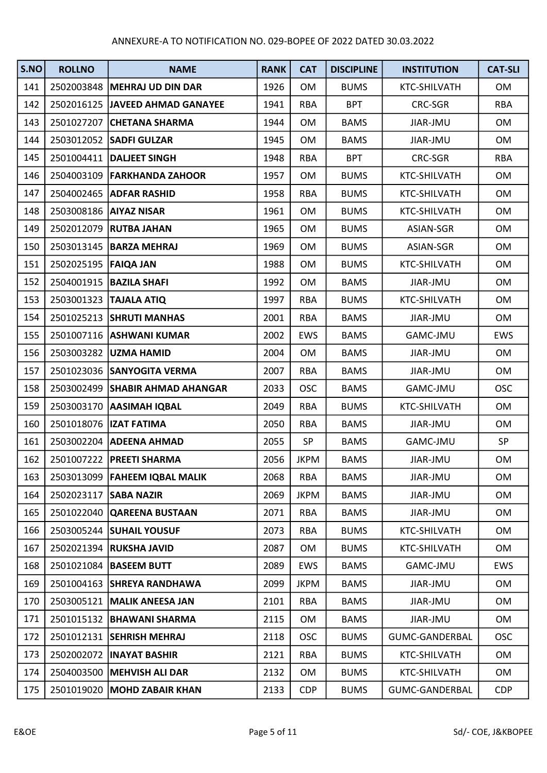| S.NO | <b>ROLLNO</b>          | <b>NAME</b>                     | <b>RANK</b> | <b>CAT</b>  | <b>DISCIPLINE</b> | <b>INSTITUTION</b>  | <b>CAT-SLI</b> |
|------|------------------------|---------------------------------|-------------|-------------|-------------------|---------------------|----------------|
| 141  |                        | 2502003848   MEHRAJ UD DIN DAR  | 1926        | <b>OM</b>   | <b>BUMS</b>       | <b>KTC-SHILVATH</b> | OM             |
| 142  | 2502016125             | JAVEED AHMAD GANAYEE            | 1941        | <b>RBA</b>  | <b>BPT</b>        | CRC-SGR             | <b>RBA</b>     |
| 143  | 2501027207             | <b>CHETANA SHARMA</b>           | 1944        | <b>OM</b>   | <b>BAMS</b>       | JIAR-JMU            | OM             |
| 144  |                        | 2503012052 SADFI GULZAR         | 1945        | <b>OM</b>   | <b>BAMS</b>       | JIAR-JMU            | OM             |
| 145  |                        | 2501004411   DALJEET SINGH      | 1948        | <b>RBA</b>  | <b>BPT</b>        | <b>CRC-SGR</b>      | <b>RBA</b>     |
| 146  |                        | 2504003109   FARKHANDA ZAHOOR   | 1957        | <b>OM</b>   | <b>BUMS</b>       | KTC-SHILVATH        | OM             |
| 147  |                        | 2504002465   ADFAR RASHID       | 1958        | <b>RBA</b>  | <b>BUMS</b>       | KTC-SHILVATH        | OM             |
| 148  |                        | 2503008186 AIYAZ NISAR          | 1961        | <b>OM</b>   | <b>BUMS</b>       | KTC-SHILVATH        | OM             |
| 149  |                        | 2502012079 RUTBA JAHAN          | 1965        | <b>OM</b>   | <b>BUMS</b>       | ASIAN-SGR           | OM             |
| 150  | 2503013145             | <b>BARZA MEHRAJ</b>             | 1969        | <b>OM</b>   | <b>BUMS</b>       | ASIAN-SGR           | OM             |
| 151  | 2502025195   FAIQA JAN |                                 | 1988        | <b>OM</b>   | <b>BUMS</b>       | KTC-SHILVATH        | OM             |
| 152  | 2504001915             | <b>BAZILA SHAFI</b>             | 1992        | <b>OM</b>   | <b>BAMS</b>       | JIAR-JMU            | OM             |
| 153  | 2503001323             | <b>TAJALA ATIQ</b>              | 1997        | <b>RBA</b>  | <b>BUMS</b>       | KTC-SHILVATH        | OM             |
| 154  |                        | 2501025213 SHRUTI MANHAS        | 2001        | <b>RBA</b>  | <b>BAMS</b>       | JIAR-JMU            | OM             |
| 155  |                        | 2501007116   ASHWANI KUMAR      | 2002        | <b>EWS</b>  | <b>BAMS</b>       | GAMC-JMU            | <b>EWS</b>     |
| 156  |                        | 2503003282   UZMA HAMID         | 2004        | OM          | <b>BAMS</b>       | JIAR-JMU            | OM             |
| 157  |                        | 2501023036 SANYOGITA VERMA      | 2007        | <b>RBA</b>  | <b>BAMS</b>       | JIAR-JMU            | OM             |
| 158  | 2503002499             | <b>SHABIR AHMAD AHANGAR</b>     | 2033        | <b>OSC</b>  | <b>BAMS</b>       | GAMC-JMU            | <b>OSC</b>     |
| 159  |                        | 2503003170 AASIMAH IQBAL        | 2049        | <b>RBA</b>  | <b>BUMS</b>       | KTC-SHILVATH        | OM             |
| 160  |                        | 2501018076  IZAT FATIMA         | 2050        | <b>RBA</b>  | <b>BAMS</b>       | JIAR-JMU            | OM             |
| 161  |                        | 2503002204 ADEENA AHMAD         | 2055        | SP          | <b>BAMS</b>       | GAMC-JMU            | SP             |
| 162  |                        | 2501007222   PREETI SHARMA      | 2056        | <b>JKPM</b> | <b>BAMS</b>       | JIAR-JMU            | OM             |
| 163  |                        | 2503013099   FAHEEM IQBAL MALIK | 2068        | <b>RBA</b>  | <b>BAMS</b>       | JIAR-JMU            | <b>OM</b>      |
| 164  | 2502023117             | <b>SABA NAZIR</b>               | 2069        | <b>JKPM</b> | <b>BAMS</b>       | JIAR-JMU            | OM             |
| 165  | 2501022040             | <b>QAREENA BUSTAAN</b>          | 2071        | <b>RBA</b>  | <b>BAMS</b>       | JIAR-JMU            | OM             |
| 166  | 2503005244             | <b>SUHAIL YOUSUF</b>            | 2073        | <b>RBA</b>  | <b>BUMS</b>       | KTC-SHILVATH        | OM             |
| 167  | 2502021394             | <b>RUKSHA JAVID</b>             | 2087        | <b>OM</b>   | <b>BUMS</b>       | KTC-SHILVATH        | OM             |
| 168  |                        | 2501021084 BASEEM BUTT          | 2089        | <b>EWS</b>  | <b>BAMS</b>       | GAMC-JMU            | EWS            |
| 169  | 2501004163             | <b>SHREYA RANDHAWA</b>          | 2099        | <b>JKPM</b> | <b>BAMS</b>       | JIAR-JMU            | OM             |
| 170  | 2503005121             | <b>MALIK ANEESA JAN</b>         | 2101        | <b>RBA</b>  | <b>BAMS</b>       | JIAR-JMU            | OM             |
| 171  | 2501015132             | <b>BHAWANI SHARMA</b>           | 2115        | <b>OM</b>   | <b>BAMS</b>       | JIAR-JMU            | OM             |
| 172  | 2501012131             | <b>SEHRISH MEHRAJ</b>           | 2118        | <b>OSC</b>  | <b>BUMS</b>       | GUMC-GANDERBAL      | <b>OSC</b>     |
| 173  | 2502002072             | <b>INAYAT BASHIR</b>            | 2121        | <b>RBA</b>  | <b>BUMS</b>       | KTC-SHILVATH        | OM             |
| 174  | 2504003500             | <b>MEHVISH ALI DAR</b>          | 2132        | <b>OM</b>   | <b>BUMS</b>       | KTC-SHILVATH        | OM             |
| 175  | 2501019020             | <b>MOHD ZABAIR KHAN</b>         | 2133        | <b>CDP</b>  | <b>BUMS</b>       | GUMC-GANDERBAL      | <b>CDP</b>     |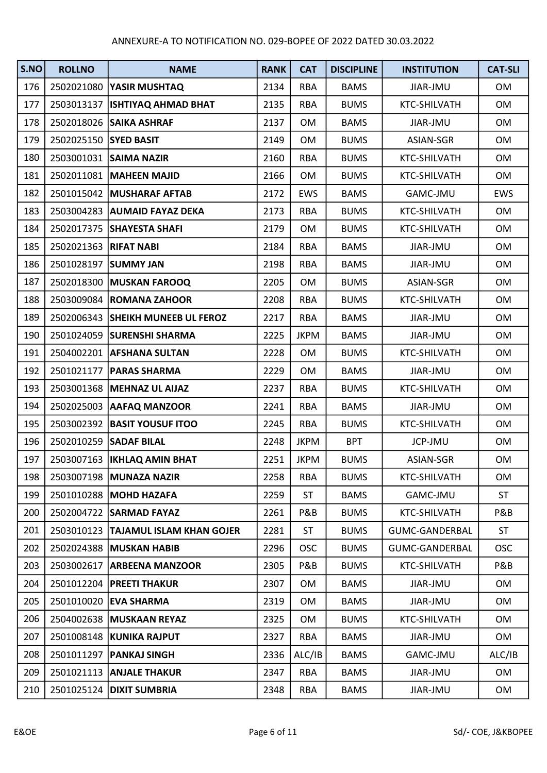| S.NO | <b>ROLLNO</b>         | <b>NAME</b>                       | <b>RANK</b> | <b>CAT</b>  | <b>DISCIPLINE</b> | <b>INSTITUTION</b> | <b>CAT-SLI</b> |
|------|-----------------------|-----------------------------------|-------------|-------------|-------------------|--------------------|----------------|
| 176  |                       | 2502021080   YASIR MUSHTAQ        | 2134        | <b>RBA</b>  | <b>BAMS</b>       | JIAR-JMU           | <b>OM</b>      |
| 177  | 2503013137            | <b>ISHTIYAQ AHMAD BHAT</b>        | 2135        | <b>RBA</b>  | <b>BUMS</b>       | KTC-SHILVATH       | OM             |
| 178  | 2502018026            | <b>SAIKA ASHRAF</b>               | 2137        | <b>OM</b>   | <b>BAMS</b>       | JIAR-JMU           | OM             |
| 179  | 2502025150 SYED BASIT |                                   | 2149        | <b>OM</b>   | <b>BUMS</b>       | ASIAN-SGR          | OM             |
| 180  |                       | 2503001031 SAIMA NAZIR            | 2160        | <b>RBA</b>  | <b>BUMS</b>       | KTC-SHILVATH       | OM             |
| 181  |                       | 2502011081 MAHEEN MAJID           | 2166        | OM          | <b>BUMS</b>       | KTC-SHILVATH       | OM             |
| 182  | 2501015042            | <b>MUSHARAF AFTAB</b>             | 2172        | EWS         | <b>BAMS</b>       | GAMC-JMU           | EWS            |
| 183  |                       | 2503004283 AUMAID FAYAZ DEKA      | 2173        | <b>RBA</b>  | <b>BUMS</b>       | KTC-SHILVATH       | OM             |
| 184  |                       | 2502017375 SHAYESTA SHAFI         | 2179        | <b>OM</b>   | <b>BUMS</b>       | KTC-SHILVATH       | OM             |
| 185  | 2502021363 RIFAT NABI |                                   | 2184        | <b>RBA</b>  | <b>BAMS</b>       | JIAR-JMU           | OM             |
| 186  | 2501028197            | <b>SUMMY JAN</b>                  | 2198        | <b>RBA</b>  | <b>BAMS</b>       | JIAR-JMU           | OM             |
| 187  |                       | 2502018300 MUSKAN FAROOQ          | 2205        | <b>OM</b>   | <b>BUMS</b>       | ASIAN-SGR          | OM             |
| 188  |                       | 2503009084   ROMANA ZAHOOR        | 2208        | <b>RBA</b>  | <b>BUMS</b>       | KTC-SHILVATH       | OM             |
| 189  |                       | 2502006343 SHEIKH MUNEEB UL FEROZ | 2217        | <b>RBA</b>  | <b>BAMS</b>       | JIAR-JMU           | OM             |
| 190  |                       | 2501024059 SURENSHI SHARMA        | 2225        | <b>JKPM</b> | <b>BAMS</b>       | JIAR-JMU           | OM             |
| 191  |                       | 2504002201 AFSHANA SULTAN         | 2228        | OM          | <b>BUMS</b>       | KTC-SHILVATH       | OM             |
| 192  | 2501021177            | <b>PARAS SHARMA</b>               | 2229        | <b>OM</b>   | <b>BAMS</b>       | JIAR-JMU           | OM             |
| 193  |                       | 2503001368 MEHNAZ UL AIJAZ        | 2237        | <b>RBA</b>  | <b>BUMS</b>       | KTC-SHILVATH       | OM             |
| 194  |                       | 2502025003 AAFAQ MANZOOR          | 2241        | <b>RBA</b>  | <b>BAMS</b>       | JIAR-JMU           | OM             |
| 195  |                       | 2503002392   BASIT YOUSUF ITOO    | 2245        | <b>RBA</b>  | <b>BUMS</b>       | KTC-SHILVATH       | OM             |
| 196  | 2502010259            | <b>SADAF BILAL</b>                | 2248        | <b>JKPM</b> | <b>BPT</b>        | JCP-JMU            | OM             |
| 197  |                       | 2503007163   IKHLAQ AMIN BHAT     | 2251        | <b>JKPM</b> | <b>BUMS</b>       | ASIAN-SGR          | OM             |
| 198  |                       | 2503007198 MUNAZA NAZIR           | 2258        | <b>RBA</b>  | <b>BUMS</b>       | KTC-SHILVATH       | <b>OM</b>      |
| 199  |                       | 2501010288 MOHD HAZAFA            | 2259        | <b>ST</b>   | <b>BAMS</b>       | GAMC-JMU           | <b>ST</b>      |
| 200  | 2502004722            | <b>SARMAD FAYAZ</b>               | 2261        | P&B         | <b>BUMS</b>       | KTC-SHILVATH       | P&B            |
| 201  | 2503010123            | <b>TAJAMUL ISLAM KHAN GOJER</b>   | 2281        | <b>ST</b>   | <b>BUMS</b>       | GUMC-GANDERBAL     | <b>ST</b>      |
| 202  | 2502024388            | <b>MUSKAN HABIB</b>               | 2296        | <b>OSC</b>  | <b>BUMS</b>       | GUMC-GANDERBAL     | <b>OSC</b>     |
| 203  |                       | 2503002617 ARBEENA MANZOOR        | 2305        | P&B         | <b>BUMS</b>       | KTC-SHILVATH       | P&B            |
| 204  | 2501012204            | <b>PREETI THAKUR</b>              | 2307        | <b>OM</b>   | <b>BAMS</b>       | JIAR-JMU           | OM             |
| 205  | 2501010020            | <b>EVA SHARMA</b>                 | 2319        | OM          | <b>BAMS</b>       | JIAR-JMU           | OM             |
| 206  | 2504002638            | <b>MUSKAAN REYAZ</b>              | 2325        | <b>OM</b>   | <b>BUMS</b>       | KTC-SHILVATH       | OM             |
| 207  |                       | 2501008148 KUNIKA RAJPUT          | 2327        | <b>RBA</b>  | <b>BAMS</b>       | JIAR-JMU           | OM             |
| 208  | 2501011297            | <b>PANKAJ SINGH</b>               | 2336        | ALC/IB      | <b>BAMS</b>       | GAMC-JMU           | ALC/IB         |
| 209  | 2501021113            | <b>ANJALE THAKUR</b>              | 2347        | <b>RBA</b>  | <b>BAMS</b>       | JIAR-JMU           | OM             |
| 210  | 2501025124            | <b>DIXIT SUMBRIA</b>              | 2348        | RBA         | <b>BAMS</b>       | JIAR-JMU           | OM             |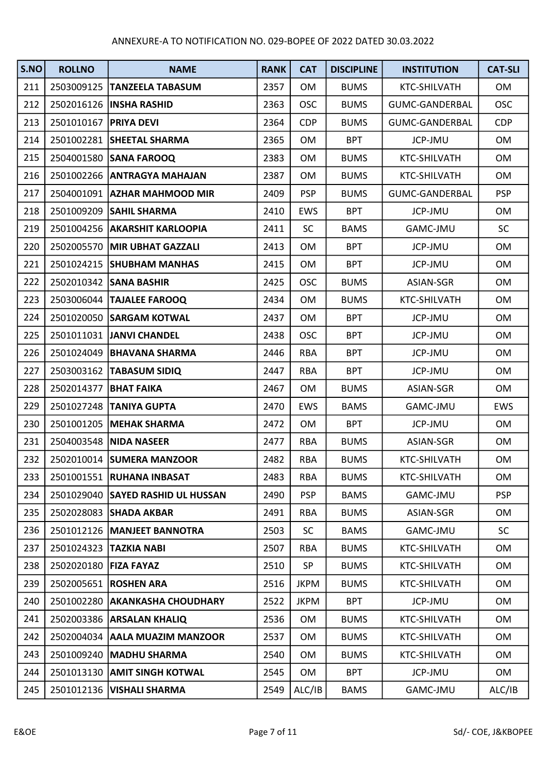| S.NO | <b>ROLLNO</b>           | <b>NAME</b>                       | <b>RANK</b> | <b>CAT</b>  | <b>DISCIPLINE</b> | <b>INSTITUTION</b>    | <b>CAT-SLI</b> |
|------|-------------------------|-----------------------------------|-------------|-------------|-------------------|-----------------------|----------------|
| 211  |                         | 2503009125  TANZEELA TABASUM      | 2357        | <b>OM</b>   | <b>BUMS</b>       | KTC-SHILVATH          | OM             |
| 212  |                         | 2502016126   INSHA RASHID         | 2363        | <b>OSC</b>  | <b>BUMS</b>       | GUMC-GANDERBAL        | <b>OSC</b>     |
| 213  | 2501010167              | <b>PRIYA DEVI</b>                 | 2364        | <b>CDP</b>  | <b>BUMS</b>       | GUMC-GANDERBAL        | <b>CDP</b>     |
| 214  |                         | 2501002281 SHEETAL SHARMA         | 2365        | <b>OM</b>   | <b>BPT</b>        | JCP-JMU               | OM             |
| 215  |                         | 2504001580 SANA FAROOQ            | 2383        | <b>OM</b>   | <b>BUMS</b>       | KTC-SHILVATH          | OM             |
| 216  |                         | 2501002266 ANTRAGYA MAHAJAN       | 2387        | <b>OM</b>   | <b>BUMS</b>       | KTC-SHILVATH          | OM             |
| 217  | 2504001091              | <b>AZHAR MAHMOOD MIR</b>          | 2409        | <b>PSP</b>  | <b>BUMS</b>       | <b>GUMC-GANDERBAL</b> | <b>PSP</b>     |
| 218  | 2501009209              | <b>SAHIL SHARMA</b>               | 2410        | <b>EWS</b>  | <b>BPT</b>        | JCP-JMU               | <b>OM</b>      |
| 219  |                         | 2501004256   AKARSHIT KARLOOPIA   | 2411        | SC          | <b>BAMS</b>       | GAMC-JMU              | <b>SC</b>      |
| 220  |                         | 2502005570 MIR UBHAT GAZZALI      | 2413        | <b>OM</b>   | <b>BPT</b>        | JCP-JMU               | OM             |
| 221  | 2501024215              | <b>SHUBHAM MANHAS</b>             | 2415        | OM          | <b>BPT</b>        | JCP-JMU               | OM             |
| 222  |                         | 2502010342 SANA BASHIR            | 2425        | <b>OSC</b>  | <b>BUMS</b>       | ASIAN-SGR             | OM             |
| 223  |                         | 2503006044 TAJALEE FAROOQ         | 2434        | <b>OM</b>   | <b>BUMS</b>       | KTC-SHILVATH          | OM             |
| 224  |                         | 2501020050 SARGAM KOTWAL          | 2437        | OM          | <b>BPT</b>        | <b>JCP-JMU</b>        | OM             |
| 225  |                         | 2501011031 JANVI CHANDEL          | 2438        | <b>OSC</b>  | <b>BPT</b>        | JCP-JMU               | OM             |
| 226  |                         | 2501024049   BHAVANA SHARMA       | 2446        | <b>RBA</b>  | <b>BPT</b>        | <b>JCP-JMU</b>        | OM             |
| 227  |                         | 2503003162   TABASUM SIDIQ        | 2447        | <b>RBA</b>  | <b>BPT</b>        | <b>JCP-JMU</b>        | OM             |
| 228  | 2502014377              | <b>BHAT FAIKA</b>                 | 2467        | <b>OM</b>   | <b>BUMS</b>       | ASIAN-SGR             | OM             |
| 229  |                         | 2501027248 TANIYA GUPTA           | 2470        | EWS         | <b>BAMS</b>       | GAMC-JMU              | EWS            |
| 230  |                         | 2501001205   MEHAK SHARMA         | 2472        | <b>OM</b>   | <b>BPT</b>        | JCP-JMU               | OM             |
| 231  | 2504003548              | <b>NIDA NASEER</b>                | 2477        | <b>RBA</b>  | <b>BUMS</b>       | ASIAN-SGR             | OM             |
| 232  |                         | 2502010014 SUMERA MANZOOR         | 2482        | <b>RBA</b>  | <b>BUMS</b>       | KTC-SHILVATH          | OM             |
| 233  |                         | 2501001551 RUHANA INBASAT         | 2483        | <b>RBA</b>  | <b>BUMS</b>       | KTC-SHILVATH          | <b>OM</b>      |
| 234  |                         | 2501029040 SAYED RASHID UL HUSSAN | 2490        | <b>PSP</b>  | <b>BAMS</b>       | GAMC-JMU              | <b>PSP</b>     |
| 235  | 2502028083              | <b>SHADA AKBAR</b>                | 2491        | <b>RBA</b>  | <b>BUMS</b>       | ASIAN-SGR             | OM             |
| 236  |                         | 2501012126   MANJEET BANNOTRA     | 2503        | <b>SC</b>   | <b>BAMS</b>       | GAMC-JMU              | <b>SC</b>      |
| 237  | 2501024323              | <b>TAZKIA NABI</b>                | 2507        | <b>RBA</b>  | <b>BUMS</b>       | <b>KTC-SHILVATH</b>   | OM             |
| 238  | 2502020180   FIZA FAYAZ |                                   | 2510        | SP          | <b>BUMS</b>       | KTC-SHILVATH          | OM             |
| 239  | 2502005651              | <b>ROSHEN ARA</b>                 | 2516        | <b>JKPM</b> | <b>BUMS</b>       | KTC-SHILVATH          | OM             |
| 240  | 2501002280              | <b>AKANKASHA CHOUDHARY</b>        | 2522        | <b>JKPM</b> | <b>BPT</b>        | JCP-JMU               | OM             |
| 241  |                         | 2502003386 ARSALAN KHALIQ         | 2536        | <b>OM</b>   | <b>BUMS</b>       | KTC-SHILVATH          | OM             |
| 242  |                         | 2502004034 AALA MUAZIM MANZOOR    | 2537        | <b>OM</b>   | <b>BUMS</b>       | KTC-SHILVATH          | OM             |
| 243  |                         | 2501009240   MADHU SHARMA         | 2540        | 0M          | <b>BUMS</b>       | KTC-SHILVATH          | OM             |
| 244  |                         | 2501013130 AMIT SINGH KOTWAL      | 2545        | <b>OM</b>   | <b>BPT</b>        | JCP-JMU               | OM             |
| 245  |                         | 2501012136   VISHALI SHARMA       | 2549        | ALC/IB      | <b>BAMS</b>       | GAMC-JMU              | ALC/IB         |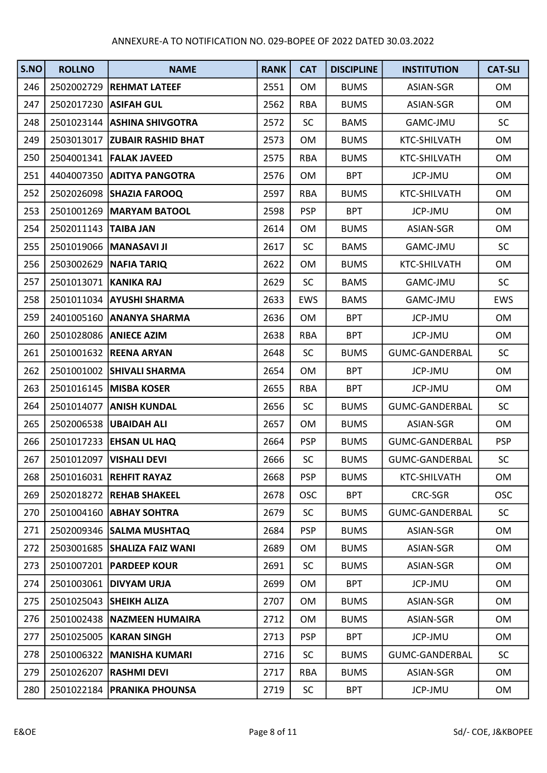| S.NO | <b>ROLLNO</b>           | <b>NAME</b>                   | <b>RANK</b> | <b>CAT</b> | <b>DISCIPLINE</b> | <b>INSTITUTION</b> | <b>CAT-SLI</b> |
|------|-------------------------|-------------------------------|-------------|------------|-------------------|--------------------|----------------|
| 246  |                         | 2502002729  REHMAT LATEEF     | 2551        | <b>OM</b>  | <b>BUMS</b>       | ASIAN-SGR          | OM             |
| 247  | 2502017230 ASIFAH GUL   |                               | 2562        | <b>RBA</b> | <b>BUMS</b>       | ASIAN-SGR          | OM             |
| 248  |                         | 2501023144   ASHINA SHIVGOTRA | 2572        | <b>SC</b>  | <b>BAMS</b>       | <b>GAMC-JMU</b>    | <b>SC</b>      |
| 249  |                         | 2503013017 ZUBAIR RASHID BHAT | 2573        | <b>OM</b>  | <b>BUMS</b>       | KTC-SHILVATH       | OM             |
| 250  |                         | 2504001341   FALAK JAVEED     | 2575        | <b>RBA</b> | <b>BUMS</b>       | KTC-SHILVATH       | OM             |
| 251  |                         | 4404007350 ADITYA PANGOTRA    | 2576        | <b>OM</b>  | <b>BPT</b>        | JCP-JMU            | OM             |
| 252  |                         | 2502026098 SHAZIA FAROOQ      | 2597        | <b>RBA</b> | <b>BUMS</b>       | KTC-SHILVATH       | OM             |
| 253  |                         | 2501001269   MARYAM BATOOL    | 2598        | <b>PSP</b> | <b>BPT</b>        | JCP-JMU            | OM             |
| 254  | 2502011143   TAIBA JAN  |                               | 2614        | <b>OM</b>  | <b>BUMS</b>       | ASIAN-SGR          | OM             |
| 255  |                         | 2501019066   MANASAVI JI      | 2617        | SC         | <b>BAMS</b>       | GAMC-JMU           | <b>SC</b>      |
| 256  |                         | 2503002629 NAFIA TARIQ        | 2622        | <b>OM</b>  | <b>BUMS</b>       | KTC-SHILVATH       | OM             |
| 257  | 2501013071   KANIKA RAJ |                               | 2629        | <b>SC</b>  | <b>BAMS</b>       | <b>GAMC-JMU</b>    | <b>SC</b>      |
| 258  |                         | 2501011034 AYUSHI SHARMA      | 2633        | EWS        | <b>BAMS</b>       | GAMC-JMU           | <b>EWS</b>     |
| 259  |                         | 2401005160 ANANYA SHARMA      | 2636        | <b>OM</b>  | <b>BPT</b>        | <b>JCP-JMU</b>     | OM             |
| 260  |                         | 2501028086 ANIECE AZIM        | 2638        | <b>RBA</b> | <b>BPT</b>        | <b>JCP-JMU</b>     | OM             |
| 261  |                         | 2501001632 REENA ARYAN        | 2648        | <b>SC</b>  | <b>BUMS</b>       | GUMC-GANDERBAL     | <b>SC</b>      |
| 262  |                         | 2501001002 SHIVALI SHARMA     | 2654        | <b>OM</b>  | <b>BPT</b>        | JCP-JMU            | OM             |
| 263  | 2501016145              | <b>MISBA KOSER</b>            | 2655        | <b>RBA</b> | <b>BPT</b>        | JCP-JMU            | OM             |
| 264  |                         | 2501014077 ANISH KUNDAL       | 2656        | <b>SC</b>  | <b>BUMS</b>       | GUMC-GANDERBAL     | <b>SC</b>      |
| 265  |                         | 2502006538   UBAIDAH ALI      | 2657        | <b>OM</b>  | <b>BUMS</b>       | ASIAN-SGR          | OM             |
| 266  |                         | 2501017233 EHSAN UL HAQ       | 2664        | <b>PSP</b> | <b>BUMS</b>       | GUMC-GANDERBAL     | <b>PSP</b>     |
| 267  | 2501012097              | <b>VISHALI DEVI</b>           | 2666        | SC         | <b>BUMS</b>       | GUMC-GANDERBAL     | <b>SC</b>      |
| 268  |                         | 2501016031 REHFIT RAYAZ       | 2668        | <b>PSP</b> | <b>BUMS</b>       | KTC-SHILVATH       | <b>OM</b>      |
| 269  |                         | 2502018272  REHAB SHAKEEL     | 2678        | <b>OSC</b> | <b>BPT</b>        | CRC-SGR            | <b>OSC</b>     |
| 270  |                         | 2501004160 ABHAY SOHTRA       | 2679        | <b>SC</b>  | <b>BUMS</b>       | GUMC-GANDERBAL     | <b>SC</b>      |
| 271  |                         | 2502009346 SALMA MUSHTAQ      | 2684        | <b>PSP</b> | <b>BUMS</b>       | ASIAN-SGR          | OM             |
| 272  | 2503001685              | <b>SHALIZA FAIZ WANI</b>      | 2689        | <b>OM</b>  | <b>BUMS</b>       | ASIAN-SGR          | OM             |
| 273  |                         | 2501007201   PARDEEP KOUR     | 2691        | <b>SC</b>  | <b>BUMS</b>       | ASIAN-SGR          | OM             |
| 274  | 2501003061              | DIVYAM URJA                   | 2699        | <b>OM</b>  | <b>BPT</b>        | JCP-JMU            | OM             |
| 275  | 2501025043              | <b>SHEIKH ALIZA</b>           | 2707        | 0M         | <b>BUMS</b>       | ASIAN-SGR          | OM             |
| 276  | 2501002438              | <b>NAZMEEN HUMAIRA</b>        | 2712        | 0M         | <b>BUMS</b>       | ASIAN-SGR          | OM             |
| 277  | 2501025005              | <b>KARAN SINGH</b>            | 2713        | <b>PSP</b> | <b>BPT</b>        | JCP-JMU            | OM             |
| 278  |                         | 2501006322   MANISHA KUMARI   | 2716        | <b>SC</b>  | <b>BUMS</b>       | GUMC-GANDERBAL     | <b>SC</b>      |
| 279  | 2501026207              | <b>RASHMI DEVI</b>            | 2717        | <b>RBA</b> | <b>BUMS</b>       | ASIAN-SGR          | OM             |
| 280  | 2501022184              | <b>PRANIKA PHOUNSA</b>        | 2719        | <b>SC</b>  | <b>BPT</b>        | JCP-JMU            | OM             |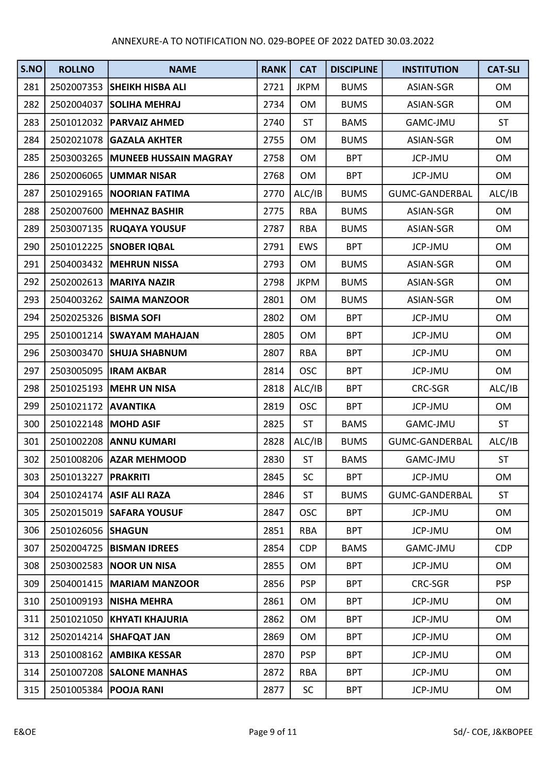| S.NO | <b>ROLLNO</b>           | <b>NAME</b>                      | <b>RANK</b> | <b>CAT</b>  | <b>DISCIPLINE</b> | <b>INSTITUTION</b>    | <b>CAT-SLI</b> |
|------|-------------------------|----------------------------------|-------------|-------------|-------------------|-----------------------|----------------|
| 281  |                         | 2502007353 SHEIKH HISBA ALI      | 2721        | <b>JKPM</b> | <b>BUMS</b>       | ASIAN-SGR             | OM             |
| 282  | 2502004037              | <b>SOLIHA MEHRAJ</b>             | 2734        | OM          | <b>BUMS</b>       | ASIAN-SGR             | OM             |
| 283  |                         | 2501012032   PARVAIZ AHMED       | 2740        | <b>ST</b>   | <b>BAMS</b>       | GAMC-JMU              | <b>ST</b>      |
| 284  |                         | 2502021078 GAZALA AKHTER         | 2755        | OM          | <b>BUMS</b>       | ASIAN-SGR             | OM             |
| 285  |                         | 2503003265 MUNEEB HUSSAIN MAGRAY | 2758        | <b>OM</b>   | <b>BPT</b>        | JCP-JMU               | OM             |
| 286  |                         | 2502006065 UMMAR NISAR           | 2768        | OM          | <b>BPT</b>        | JCP-JMU               | OM             |
| 287  | 2501029165              | <b>NOORIAN FATIMA</b>            | 2770        | ALC/IB      | <b>BUMS</b>       | <b>GUMC-GANDERBAL</b> | ALC/IB         |
| 288  |                         | 2502007600 MEHNAZ BASHIR         | 2775        | <b>RBA</b>  | <b>BUMS</b>       | ASIAN-SGR             | OM             |
| 289  |                         | 2503007135  RUQAYA YOUSUF        | 2787        | <b>RBA</b>  | <b>BUMS</b>       | ASIAN-SGR             | OM             |
| 290  |                         | 2501012225 SNOBER IQBAL          | 2791        | <b>EWS</b>  | <b>BPT</b>        | JCP-JMU               | OM             |
| 291  |                         | 2504003432 MEHRUN NISSA          | 2793        | OM          | <b>BUMS</b>       | ASIAN-SGR             | OM             |
| 292  |                         | 2502002613   MARIYA NAZIR        | 2798        | <b>JKPM</b> | <b>BUMS</b>       | ASIAN-SGR             | OM             |
| 293  |                         | 2504003262 SAIMA MANZOOR         | 2801        | <b>OM</b>   | <b>BUMS</b>       | ASIAN-SGR             | OM             |
| 294  | 2502025326   BISMA SOFI |                                  | 2802        | OM          | <b>BPT</b>        | JCP-JMU               | OM             |
| 295  |                         | 2501001214   SWAYAM MAHAJAN      | 2805        | OM          | <b>BPT</b>        | JCP-JMU               | OM             |
| 296  |                         | 2503003470 SHUJA SHABNUM         | 2807        | <b>RBA</b>  | <b>BPT</b>        | JCP-JMU               | OM             |
| 297  |                         | 2503005095   IRAM AKBAR          | 2814        | <b>OSC</b>  | <b>BPT</b>        | JCP-JMU               | OM             |
| 298  |                         | 2501025193 MEHR UN NISA          | 2818        | ALC/IB      | <b>BPT</b>        | CRC-SGR               | ALC/IB         |
| 299  | 2501021172 AVANTIKA     |                                  | 2819        | <b>OSC</b>  | <b>BPT</b>        | JCP-JMU               | <b>OM</b>      |
| 300  | 2501022148 MOHD ASIF    |                                  | 2825        | <b>ST</b>   | <b>BAMS</b>       | GAMC-JMU              | <b>ST</b>      |
| 301  |                         | 2501002208 ANNU KUMARI           | 2828        | ALC/IB      | <b>BUMS</b>       | <b>GUMC-GANDERBAL</b> | ALC/IB         |
| 302  |                         | 2501008206 AZAR MEHMOOD          | 2830        | <b>ST</b>   | <b>BAMS</b>       | GAMC-JMU              | <b>ST</b>      |
| 303  | 2501013227   PRAKRITI   |                                  | 2845        | SC          | <b>BPT</b>        | JCP-JMU               | <b>OM</b>      |
| 304  |                         | 2501024174 ASIF ALI RAZA         | 2846        | <b>ST</b>   | <b>BUMS</b>       | <b>GUMC-GANDERBAL</b> | <b>ST</b>      |
| 305  |                         | 2502015019 SAFARA YOUSUF         | 2847        | <b>OSC</b>  | <b>BPT</b>        | <b>JCP-JMU</b>        | OM             |
| 306  | 2501026056 SHAGUN       |                                  | 2851        | RBA         | <b>BPT</b>        | <b>JCP-JMU</b>        | OM             |
| 307  |                         | 2502004725  BISMAN IDREES        | 2854        | <b>CDP</b>  | <b>BAMS</b>       | GAMC-JMU              | <b>CDP</b>     |
| 308  |                         | 2503002583 NOOR UN NISA          | 2855        | 0M          | <b>BPT</b>        | <b>JCP-JMU</b>        | OM             |
| 309  | 2504001415              | <b>MARIAM MANZOOR</b>            | 2856        | <b>PSP</b>  | <b>BPT</b>        | CRC-SGR               | <b>PSP</b>     |
| 310  | 2501009193              | <b>NISHA MEHRA</b>               | 2861        | OM          | <b>BPT</b>        | <b>JCP-JMU</b>        | OM             |
| 311  |                         | 2501021050 KHYATI KHAJURIA       | 2862        | OM          | <b>BPT</b>        | JCP-JMU               | OM             |
| 312  |                         | 2502014214 SHAFQAT JAN           | 2869        | OM          | <b>BPT</b>        | JCP-JMU               | <b>OM</b>      |
| 313  |                         | 2501008162   AMBIKA KESSAR       | 2870        | <b>PSP</b>  | <b>BPT</b>        | <b>JCP-JMU</b>        | OM             |
| 314  |                         | 2501007208 SALONE MANHAS         | 2872        | <b>RBA</b>  | <b>BPT</b>        | <b>JCP-JMU</b>        | OM             |
| 315  |                         | 2501005384   POOJA RANI          | 2877        | <b>SC</b>   | <b>BPT</b>        | JCP-JMU               | OM             |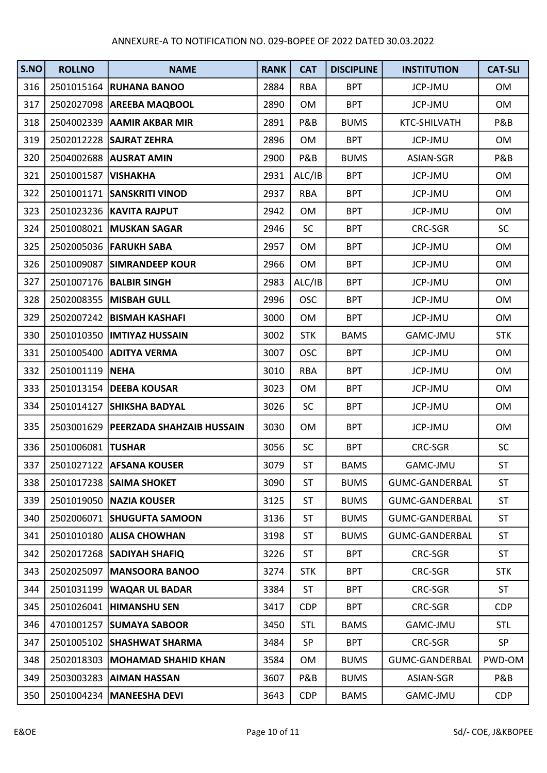| S.NO | <b>ROLLNO</b>         | <b>NAME</b>                            | <b>RANK</b> | <b>CAT</b>     | <b>DISCIPLINE</b> | <b>INSTITUTION</b>    | <b>CAT-SLI</b> |
|------|-----------------------|----------------------------------------|-------------|----------------|-------------------|-----------------------|----------------|
| 316  |                       | 2501015164 RUHANA BANOO                | 2884        | <b>RBA</b>     | <b>BPT</b>        | <b>JCP-JMU</b>        | OM             |
| 317  |                       | 2502027098 AREEBA MAQBOOL              | 2890        | OM             | <b>BPT</b>        | JCP-JMU               | OM             |
| 318  |                       | 2504002339 AAMIR AKBAR MIR             | 2891        | <b>P&amp;B</b> | <b>BUMS</b>       | KTC-SHILVATH          | P&B            |
| 319  |                       | 2502012228 SAJRAT ZEHRA                | 2896        | OM             | <b>BPT</b>        | <b>JCP-JMU</b>        | OM             |
| 320  |                       | 2504002688 AUSRAT AMIN                 | 2900        | P&B            | <b>BUMS</b>       | ASIAN-SGR             | P&B            |
| 321  | 2501001587   VISHAKHA |                                        | 2931        | ALC/IB         | <b>BPT</b>        | JCP-JMU               | OM             |
| 322  |                       | 2501001171   SANSKRITI VINOD           | 2937        | <b>RBA</b>     | <b>BPT</b>        | <b>JCP-JMU</b>        | OM             |
| 323  |                       | 2501023236   KAVITA RAJPUT             | 2942        | <b>OM</b>      | <b>BPT</b>        | JCP-JMU               | OM             |
| 324  |                       | 2501008021 MUSKAN SAGAR                | 2946        | <b>SC</b>      | <b>BPT</b>        | CRC-SGR               | <b>SC</b>      |
| 325  |                       | 2502005036 FARUKH SABA                 | 2957        | <b>OM</b>      | <b>BPT</b>        | JCP-JMU               | OM             |
| 326  |                       | 2501009087 SIMRANDEEP KOUR             | 2966        | 0M             | <b>BPT</b>        | JCP-JMU               | OM             |
| 327  |                       | 2501007176   BALBIR SINGH              | 2983        | ALC/IB         | <b>BPT</b>        | JCP-JMU               | OM             |
| 328  |                       | 2502008355   MISBAH GULL               | 2996        | <b>OSC</b>     | <b>BPT</b>        | JCP-JMU               | OM             |
| 329  |                       | 2502007242 BISMAH KASHAFI              | 3000        | 0M             | <b>BPT</b>        | JCP-JMU               | OM             |
| 330  |                       | 2501010350  IMTIYAZ HUSSAIN            | 3002        | <b>STK</b>     | <b>BAMS</b>       | GAMC-JMU              | <b>STK</b>     |
| 331  |                       | 2501005400 ADITYA VERMA                | 3007        | <b>OSC</b>     | <b>BPT</b>        | JCP-JMU               | OM             |
| 332  | 2501001119 NEHA       |                                        | 3010        | <b>RBA</b>     | <b>BPT</b>        | <b>JCP-JMU</b>        | OM             |
| 333  |                       | 2501013154   DEEBA KOUSAR              | 3023        | <b>OM</b>      | <b>BPT</b>        | JCP-JMU               | OM             |
| 334  |                       | 2501014127 SHIKSHA BADYAL              | 3026        | SC             | <b>BPT</b>        | JCP-JMU               | <b>OM</b>      |
| 335  |                       | 2503001629   PEERZADA SHAHZAIB HUSSAIN | 3030        | OM             | <b>BPT</b>        | JCP-JMU               | OM             |
| 336  | 2501006081 TUSHAR     |                                        | 3056        | <b>SC</b>      | <b>BPT</b>        | CRC-SGR               | <b>SC</b>      |
| 337  |                       | 2501027122 AFSANA KOUSER               | 3079        | <b>ST</b>      | <b>BAMS</b>       | GAMC-JMU              | <b>ST</b>      |
| 338  |                       | 2501017238 SAIMA SHOKET                | 3090        | <b>ST</b>      | <b>BUMS</b>       | GUMC-GANDERBAL        | <b>ST</b>      |
| 339  |                       | 2501019050 NAZIA KOUSER                | 3125        | <b>ST</b>      | <b>BUMS</b>       | <b>GUMC-GANDERBAL</b> | <b>ST</b>      |
| 340  | 2502006071            | <b>SHUGUFTA SAMOON</b>                 | 3136        | <b>ST</b>      | <b>BUMS</b>       | <b>GUMC-GANDERBAL</b> | <b>ST</b>      |
| 341  |                       | 2501010180   ALISA CHOWHAN             | 3198        | <b>ST</b>      | <b>BUMS</b>       | GUMC-GANDERBAL        | <b>ST</b>      |
| 342  |                       | 2502017268 SADIYAH SHAFIQ              | 3226        | <b>ST</b>      | <b>BPT</b>        | CRC-SGR               | <b>ST</b>      |
| 343  |                       | 2502025097 MANSOORA BANOO              | 3274        | <b>STK</b>     | <b>BPT</b>        | CRC-SGR               | <b>STK</b>     |
| 344  |                       | 2501031199   WAQAR UL BADAR            | 3384        | <b>ST</b>      | <b>BPT</b>        | CRC-SGR               | <b>ST</b>      |
| 345  | 2501026041            | <b>HIMANSHU SEN</b>                    | 3417        | <b>CDP</b>     | <b>BPT</b>        | CRC-SGR               | <b>CDP</b>     |
| 346  | 4701001257            | <b>SUMAYA SABOOR</b>                   | 3450        | <b>STL</b>     | <b>BAMS</b>       | GAMC-JMU              | <b>STL</b>     |
| 347  |                       | 2501005102 SHASHWAT SHARMA             | 3484        | SP             | <b>BPT</b>        | CRC-SGR               | SP             |
| 348  |                       | 2502018303   MOHAMAD SHAHID KHAN       | 3584        | 0M             | <b>BUMS</b>       | GUMC-GANDERBAL        | PWD-OM         |
| 349  | 2503003283            | <b>AIMAN HASSAN</b>                    | 3607        | P&B            | <b>BUMS</b>       | ASIAN-SGR             | P&B            |
| 350  | 2501004234            | <b>MANEESHA DEVI</b>                   | 3643        | <b>CDP</b>     | <b>BAMS</b>       | GAMC-JMU              | <b>CDP</b>     |